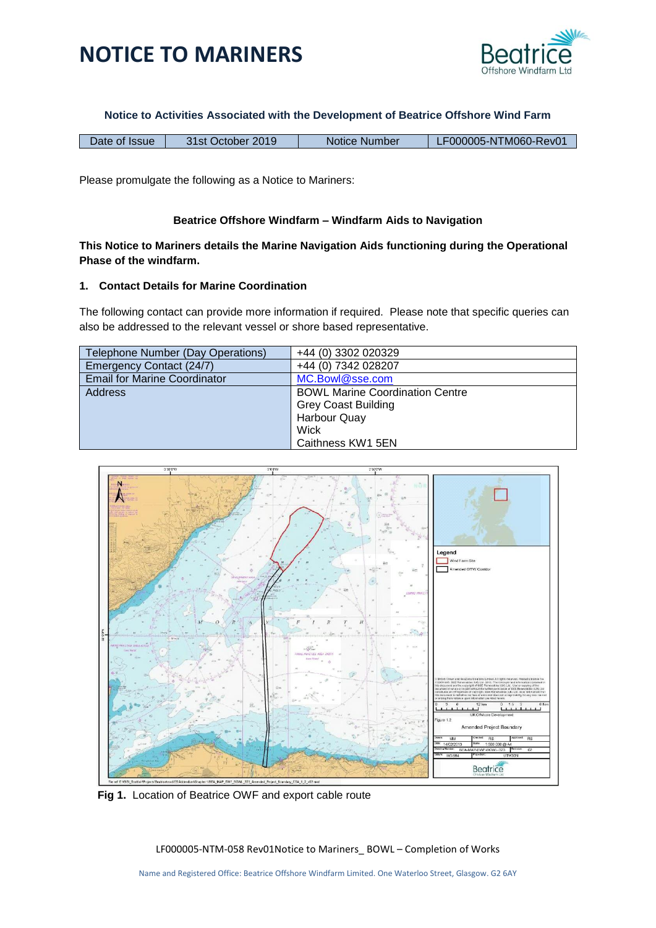



**Notice to Activities Associated with the Development of Beatrice Offshore Wind Farm**

| 31st October 2019<br>Date of Issue | Notice Number | LF000005-NTM060-Rev01 |
|------------------------------------|---------------|-----------------------|
|------------------------------------|---------------|-----------------------|

Please promulgate the following as a Notice to Mariners:

### **Beatrice Offshore Windfarm – Windfarm Aids to Navigation**

### **This Notice to Mariners details the Marine Navigation Aids functioning during the Operational Phase of the windfarm.**

### **1. Contact Details for Marine Coordination**

The following contact can provide more information if required. Please note that specific queries can also be addressed to the relevant vessel or shore based representative.

| Telephone Number (Day Operations)   | +44 (0) 3302 020329                    |
|-------------------------------------|----------------------------------------|
| Emergency Contact (24/7)            | +44 (0) 7342 028207                    |
| <b>Email for Marine Coordinator</b> | MC.Bowl@sse.com                        |
| <b>Address</b>                      | <b>BOWL Marine Coordination Centre</b> |
|                                     | <b>Grey Coast Building</b>             |
|                                     | Harbour Quay                           |
|                                     | Wick                                   |
|                                     | Caithness KW1 5EN                      |



 **Fig 1.** Location of Beatrice OWF and export cable route

LF000005-NTM-058 Rev01Notice to Mariners\_ BOWL – Completion of Works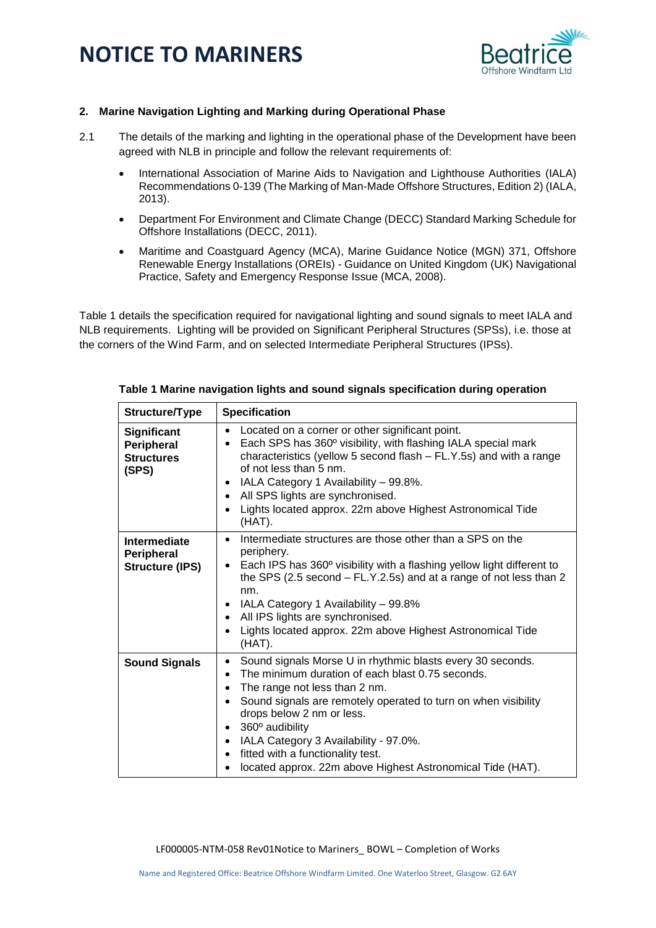# **NOTICE TO MARINERS**



### **2. Marine Navigation Lighting and Marking during Operational Phase**

- 2.1 The details of the marking and lighting in the operational phase of the Development have been agreed with NLB in principle and follow the relevant requirements of:
	- International Association of Marine Aids to Navigation and Lighthouse Authorities (IALA) Recommendations 0-139 (The Marking of Man-Made Offshore Structures, Edition 2) (IALA, 2013).
	- Department For Environment and Climate Change (DECC) Standard Marking Schedule for Offshore Installations (DECC, 2011).
	- Maritime and Coastguard Agency (MCA), Marine Guidance Notice (MGN) 371, Offshore Renewable Energy Installations (OREIs) - Guidance on United Kingdom (UK) Navigational Practice, Safety and Emergency Response Issue (MCA, 2008).

Table 1 details the specification required for navigational lighting and sound signals to meet IALA and NLB requirements. Lighting will be provided on Significant Peripheral Structures (SPSs), i.e. those at the corners of the Wind Farm, and on selected Intermediate Peripheral Structures (IPSs).

| Structure/Type                                                 | <b>Specification</b>                                                                                                                                                                                                                                                                                                                                                                                                                                                                        |  |  |
|----------------------------------------------------------------|---------------------------------------------------------------------------------------------------------------------------------------------------------------------------------------------------------------------------------------------------------------------------------------------------------------------------------------------------------------------------------------------------------------------------------------------------------------------------------------------|--|--|
| <b>Significant</b><br>Peripheral<br><b>Structures</b><br>(SPS) | Located on a corner or other significant point.<br>$\bullet$<br>Each SPS has 360° visibility, with flashing IALA special mark<br>$\bullet$<br>characteristics (yellow 5 second flash - FL.Y.5s) and with a range<br>of not less than 5 nm.<br>IALA Category 1 Availability - 99.8%.<br>٠<br>All SPS lights are synchronised.<br>$\bullet$<br>Lights located approx. 22m above Highest Astronomical Tide<br>(HAT).                                                                           |  |  |
| Intermediate<br>Peripheral<br><b>Structure (IPS)</b>           | Intermediate structures are those other than a SPS on the<br>$\bullet$<br>periphery.<br>Each IPS has 360° visibility with a flashing yellow light different to<br>$\bullet$<br>the SPS (2.5 second – FL.Y.2.5s) and at a range of not less than 2<br>nm.<br>IALA Category 1 Availability - 99.8%<br>$\bullet$<br>All IPS lights are synchronised.<br>$\bullet$<br>Lights located approx. 22m above Highest Astronomical Tide<br>$\bullet$<br>(HAT).                                         |  |  |
| <b>Sound Signals</b>                                           | Sound signals Morse U in rhythmic blasts every 30 seconds.<br>$\bullet$<br>The minimum duration of each blast 0.75 seconds.<br>$\bullet$<br>The range not less than 2 nm.<br>Sound signals are remotely operated to turn on when visibility<br>$\bullet$<br>drops below 2 nm or less.<br>360° audibility<br>$\bullet$<br>IALA Category 3 Availability - 97.0%.<br>$\bullet$<br>fitted with a functionality test.<br>$\bullet$<br>located approx. 22m above Highest Astronomical Tide (HAT). |  |  |

#### **Table 1 Marine navigation lights and sound signals specification during operation**

LF000005-NTM-058 Rev01Notice to Mariners\_ BOWL – Completion of Works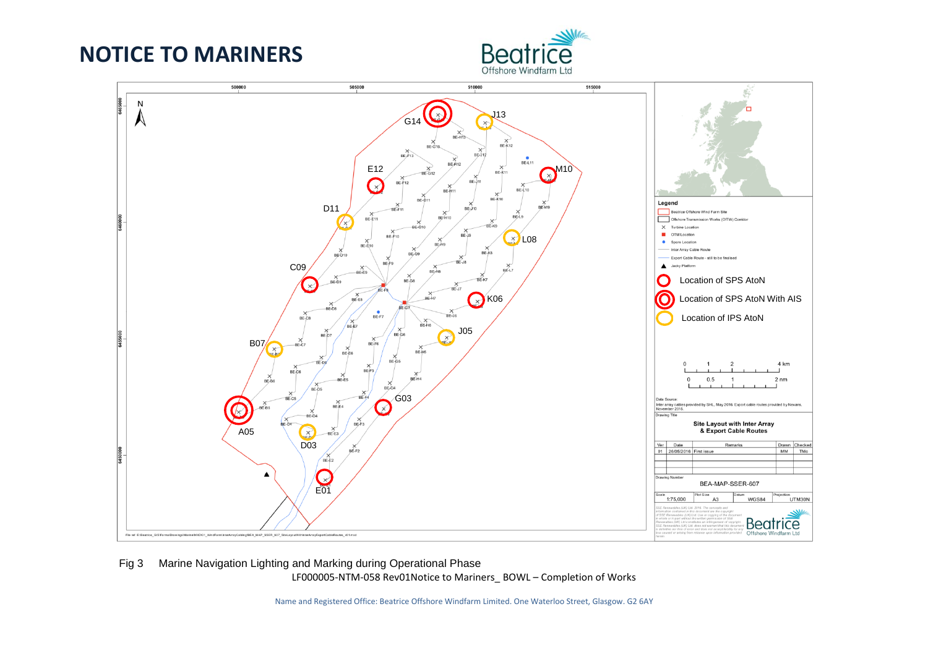## **NOTICE TO MARINERS**





#### LF000005-NTM-058 Rev01Notice to Mariners\_ BOWL – Completion of Works Fig 3 Marine Navigation Lighting and Marking during Operational Phase

Name and Registered Office: Beatrice Offshore Windfarm Limited. One Waterloo Street, Glasgow. G2 6AY